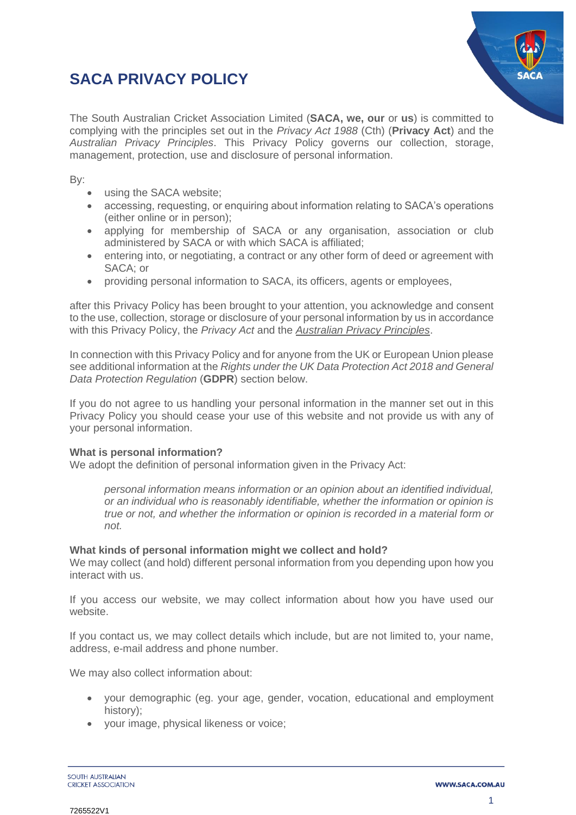# **SACA PRIVACY POLICY**



The South Australian Cricket Association Limited (**SACA, we, our** or **us**) is committed to complying with the principles set out in the *Privacy Act 1988* (Cth) (**Privacy Act**) and the *Australian Privacy Principles*. This Privacy Policy governs our collection, storage, management, protection, use and disclosure of personal information.

By:

- using the SACA website:
- accessing, requesting, or enquiring about information relating to SACA's operations (either online or in person);
- applying for membership of SACA or any organisation, association or club administered by SACA or with which SACA is affiliated;
- entering into, or negotiating, a contract or any other form of deed or agreement with SACA; or
- providing personal information to SACA, its officers, agents or employees,

after this Privacy Policy has been brought to your attention, you acknowledge and consent to the use, collection, storage or disclosure of your personal information by us in accordance with this Privacy Policy, the *Privacy Act* and the *Australian Privacy Principles*.

In connection with this Privacy Policy and for anyone from the UK or European Union please see additional information at the *Rights under the UK Data Protection Act 2018 and General Data Protection Regulation* (**GDPR**) section below.

If you do not agree to us handling your personal information in the manner set out in this Privacy Policy you should cease your use of this website and not provide us with any of your personal information.

# **What is personal information?**

We adopt the definition of personal information given in the Privacy Act:

*personal information means information or an opinion about an identified individual, or an individual who is reasonably identifiable, whether the information or opinion is true or not, and whether the information or opinion is recorded in a material form or not.*

#### **What kinds of personal information might we collect and hold?**

We may collect (and hold) different personal information from you depending upon how you interact with us.

If you access our website, we may collect information about how you have used our website.

If you contact us, we may collect details which include, but are not limited to, your name, address, e-mail address and phone number.

We may also collect information about:

- your demographic (eg. your age, gender, vocation, educational and employment history);
- your image, physical likeness or voice;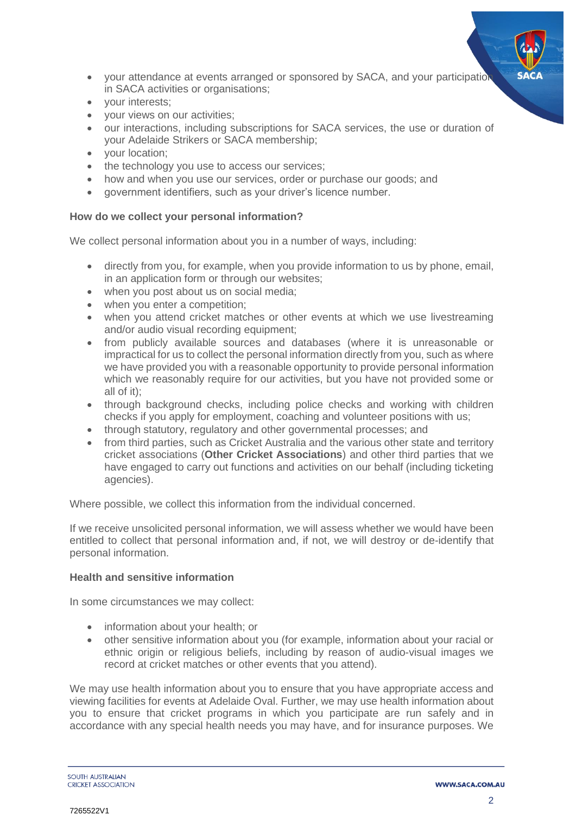- your attendance at events arranged or sponsored by SACA, and your participation in SACA activities or organisations;
- your interests;
- your views on our activities;
- our interactions, including subscriptions for SACA services, the use or duration of your Adelaide Strikers or SACA membership;
- your location;
- the technology you use to access our services;
- how and when you use our services, order or purchase our goods; and
- government identifiers, such as your driver's licence number.

#### **How do we collect your personal information?**

We collect personal information about you in a number of ways, including:

- directly from you, for example, when you provide information to us by phone, email, in an application form or through our websites;
- when you post about us on social media;
- when you enter a competition:
- when you attend cricket matches or other events at which we use livestreaming and/or audio visual recording equipment;
- from publicly available sources and databases (where it is unreasonable or impractical for us to collect the personal information directly from you, such as where we have provided you with a reasonable opportunity to provide personal information which we reasonably require for our activities, but you have not provided some or all of it);
- through background checks, including police checks and working with children checks if you apply for employment, coaching and volunteer positions with us;
- through statutory, regulatory and other governmental processes; and
- from third parties, such as Cricket Australia and the various other state and territory cricket associations (**Other Cricket Associations**) and other third parties that we have engaged to carry out functions and activities on our behalf (including ticketing agencies).

Where possible, we collect this information from the individual concerned.

If we receive unsolicited personal information, we will assess whether we would have been entitled to collect that personal information and, if not, we will destroy or de-identify that personal information.

#### **Health and sensitive information**

In some circumstances we may collect:

- information about your health; or
- other sensitive information about you (for example, information about your racial or ethnic origin or religious beliefs, including by reason of audio-visual images we record at cricket matches or other events that you attend).

We may use health information about you to ensure that you have appropriate access and viewing facilities for events at Adelaide Oval. Further, we may use health information about you to ensure that cricket programs in which you participate are run safely and in accordance with any special health needs you may have, and for insurance purposes. We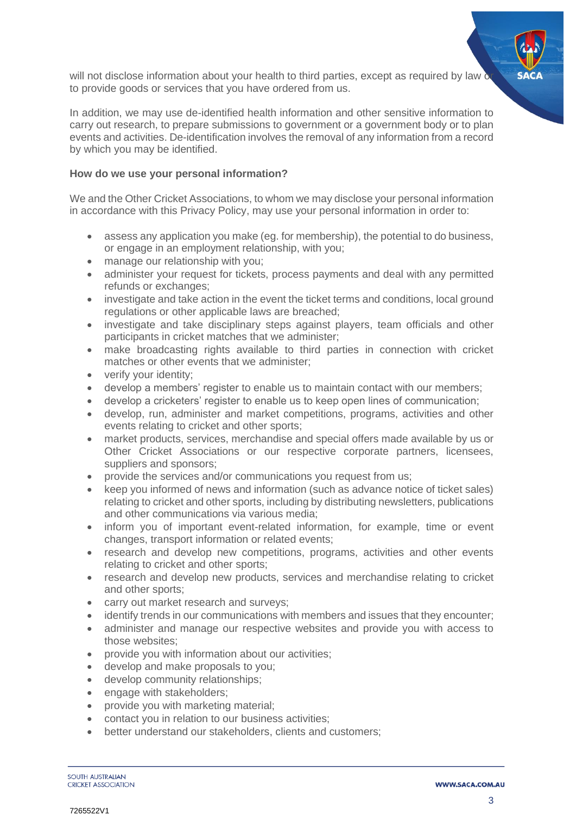will not disclose information about your health to third parties, except as required by law  $\delta$ to provide goods or services that you have ordered from us.

In addition, we may use de-identified health information and other sensitive information to carry out research, to prepare submissions to government or a government body or to plan events and activities. De-identification involves the removal of any information from a record by which you may be identified.

#### **How do we use your personal information?**

We and the Other Cricket Associations, to whom we may disclose your personal information in accordance with this Privacy Policy, may use your personal information in order to:

- assess any application you make (eg. for membership), the potential to do business, or engage in an employment relationship, with you;
- manage our relationship with you:
- administer your request for tickets, process payments and deal with any permitted refunds or exchanges;
- investigate and take action in the event the ticket terms and conditions, local ground regulations or other applicable laws are breached;
- investigate and take disciplinary steps against players, team officials and other participants in cricket matches that we administer;
- make broadcasting rights available to third parties in connection with cricket matches or other events that we administer;
- verify your identity;
- develop a members' register to enable us to maintain contact with our members;
- develop a cricketers' register to enable us to keep open lines of communication;
- develop, run, administer and market competitions, programs, activities and other events relating to cricket and other sports;
- market products, services, merchandise and special offers made available by us or Other Cricket Associations or our respective corporate partners, licensees, suppliers and sponsors;
- provide the services and/or communications you request from us;
- keep you informed of news and information (such as advance notice of ticket sales) relating to cricket and other sports, including by distributing newsletters, publications and other communications via various media;
- inform you of important event-related information, for example, time or event changes, transport information or related events;
- research and develop new competitions, programs, activities and other events relating to cricket and other sports;
- research and develop new products, services and merchandise relating to cricket and other sports;
- carry out market research and surveys;
- identify trends in our communications with members and issues that they encounter;
- administer and manage our respective websites and provide you with access to those websites;
- provide you with information about our activities;
- develop and make proposals to you;
- develop community relationships;
- engage with stakeholders:
- provide you with marketing material;
- contact you in relation to our business activities;
- better understand our stakeholders, clients and customers;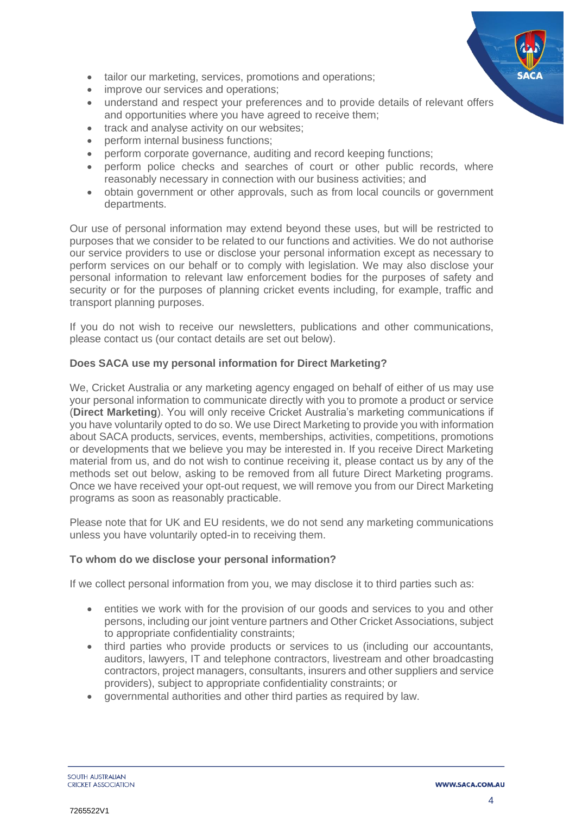- tailor our marketing, services, promotions and operations;
- improve our services and operations;
- understand and respect your preferences and to provide details of relevant offers and opportunities where you have agreed to receive them;
- track and analyse activity on our websites:
- perform internal business functions;
- perform corporate governance, auditing and record keeping functions;
- perform police checks and searches of court or other public records, where reasonably necessary in connection with our business activities; and
- obtain government or other approvals, such as from local councils or government departments.

Our use of personal information may extend beyond these uses, but will be restricted to purposes that we consider to be related to our functions and activities. We do not authorise our service providers to use or disclose your personal information except as necessary to perform services on our behalf or to comply with legislation. We may also disclose your personal information to relevant law enforcement bodies for the purposes of safety and security or for the purposes of planning cricket events including, for example, traffic and transport planning purposes.

If you do not wish to receive our newsletters, publications and other communications, please contact us (our contact details are set out below).

# **Does SACA use my personal information for Direct Marketing?**

We, Cricket Australia or any marketing agency engaged on behalf of either of us may use your personal information to communicate directly with you to promote a product or service (**Direct Marketing**). You will only receive Cricket Australia's marketing communications if you have voluntarily opted to do so. We use Direct Marketing to provide you with information about SACA products, services, events, memberships, activities, competitions, promotions or developments that we believe you may be interested in. If you receive Direct Marketing material from us, and do not wish to continue receiving it, please contact us by any of the methods set out below, asking to be removed from all future Direct Marketing programs. Once we have received your opt-out request, we will remove you from our Direct Marketing programs as soon as reasonably practicable.

Please note that for UK and EU residents, we do not send any marketing communications unless you have voluntarily opted-in to receiving them.

# **To whom do we disclose your personal information?**

If we collect personal information from you, we may disclose it to third parties such as:

- entities we work with for the provision of our goods and services to you and other persons, including our joint venture partners and Other Cricket Associations, subject to appropriate confidentiality constraints;
- third parties who provide products or services to us (including our accountants, auditors, lawyers, IT and telephone contractors, livestream and other broadcasting contractors, project managers, consultants, insurers and other suppliers and service providers), subject to appropriate confidentiality constraints; or
- governmental authorities and other third parties as required by law.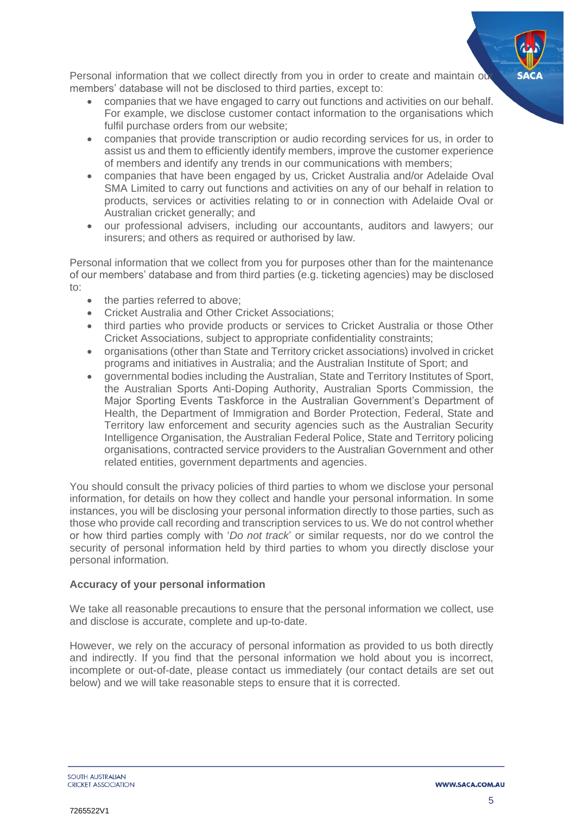Personal information that we collect directly from you in order to create and maintain our members' database will not be disclosed to third parties, except to:

- companies that we have engaged to carry out functions and activities on our behalf. For example, we disclose customer contact information to the organisations which fulfil purchase orders from our website;
- companies that provide transcription or audio recording services for us, in order to assist us and them to efficiently identify members, improve the customer experience of members and identify any trends in our communications with members;
- companies that have been engaged by us, Cricket Australia and/or Adelaide Oval SMA Limited to carry out functions and activities on any of our behalf in relation to products, services or activities relating to or in connection with Adelaide Oval or Australian cricket generally; and
- our professional advisers, including our accountants, auditors and lawyers; our insurers; and others as required or authorised by law.

Personal information that we collect from you for purposes other than for the maintenance of our members' database and from third parties (e.g. ticketing agencies) may be disclosed to:

- the parties referred to above;
- Cricket Australia and Other Cricket Associations;
- third parties who provide products or services to Cricket Australia or those Other Cricket Associations, subject to appropriate confidentiality constraints;
- organisations (other than State and Territory cricket associations) involved in cricket programs and initiatives in Australia; and the Australian Institute of Sport; and
- governmental bodies including the Australian, State and Territory Institutes of Sport, the Australian Sports Anti-Doping Authority, Australian Sports Commission, the Major Sporting Events Taskforce in the Australian Government's Department of Health, the Department of Immigration and Border Protection, Federal, State and Territory law enforcement and security agencies such as the Australian Security Intelligence Organisation, the Australian Federal Police, State and Territory policing organisations, contracted service providers to the Australian Government and other related entities, government departments and agencies.

You should consult the privacy policies of third parties to whom we disclose your personal information, for details on how they collect and handle your personal information. In some instances, you will be disclosing your personal information directly to those parties, such as those who provide call recording and transcription services to us. We do not control whether or how third parties comply with '*Do not track*' or similar requests, nor do we control the security of personal information held by third parties to whom you directly disclose your personal information.

# **Accuracy of your personal information**

We take all reasonable precautions to ensure that the personal information we collect, use and disclose is accurate, complete and up-to-date.

However, we rely on the accuracy of personal information as provided to us both directly and indirectly. If you find that the personal information we hold about you is incorrect, incomplete or out-of-date, please contact us immediately (our contact details are set out below) and we will take reasonable steps to ensure that it is corrected.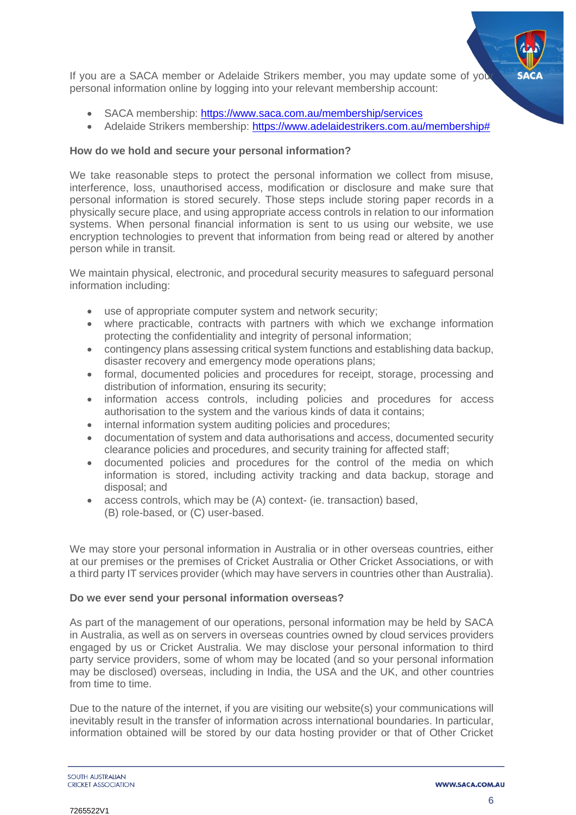

If you are a SACA member or Adelaide Strikers member, you may update some of you personal information online by logging into your relevant membership account:

- SACA membership:<https://www.saca.com.au/membership/services>
- Adelaide Strikers membership: [https://www.adelaidestrikers.com.au/membership#](https://www.adelaidestrikers.com.au/membership)

#### **How do we hold and secure your personal information?**

We take reasonable steps to protect the personal information we collect from misuse, interference, loss, unauthorised access, modification or disclosure and make sure that personal information is stored securely. Those steps include storing paper records in a physically secure place, and using appropriate access controls in relation to our information systems. When personal financial information is sent to us using our website, we use encryption technologies to prevent that information from being read or altered by another person while in transit.

We maintain physical, electronic, and procedural security measures to safeguard personal information including:

- use of appropriate computer system and network security;
- where practicable, contracts with partners with which we exchange information protecting the confidentiality and integrity of personal information;
- contingency plans assessing critical system functions and establishing data backup, disaster recovery and emergency mode operations plans;
- formal, documented policies and procedures for receipt, storage, processing and distribution of information, ensuring its security;
- information access controls, including policies and procedures for access authorisation to the system and the various kinds of data it contains;
- internal information system auditing policies and procedures;
- documentation of system and data authorisations and access, documented security clearance policies and procedures, and security training for affected staff;
- documented policies and procedures for the control of the media on which information is stored, including activity tracking and data backup, storage and disposal; and
- access controls, which may be (A) context- (ie. transaction) based, (B) role-based, or (C) user-based.

We may store your personal information in Australia or in other overseas countries, either at our premises or the premises of Cricket Australia or Other Cricket Associations, or with a third party IT services provider (which may have servers in countries other than Australia).

#### **Do we ever send your personal information overseas?**

As part of the management of our operations, personal information may be held by SACA in Australia, as well as on servers in overseas countries owned by cloud services providers engaged by us or Cricket Australia. We may disclose your personal information to third party service providers, some of whom may be located (and so your personal information may be disclosed) overseas, including in India, the USA and the UK, and other countries from time to time.

Due to the nature of the internet, if you are visiting our website(s) your communications will inevitably result in the transfer of information across international boundaries. In particular, information obtained will be stored by our data hosting provider or that of Other Cricket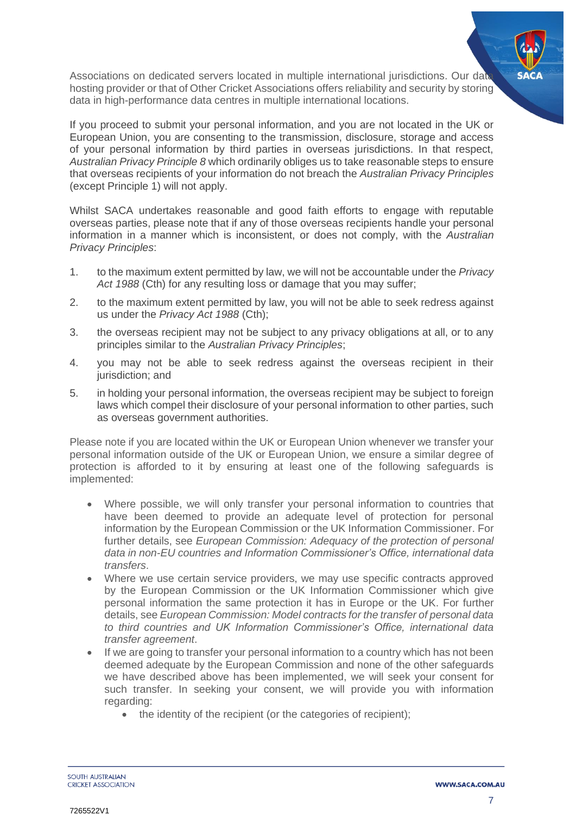Associations on dedicated servers located in multiple international jurisdictions. Our data hosting provider or that of Other Cricket Associations offers reliability and security by storing data in high-performance data centres in multiple international locations.

If you proceed to submit your personal information, and you are not located in the UK or European Union, you are consenting to the transmission, disclosure, storage and access of your personal information by third parties in overseas jurisdictions. In that respect, *Australian Privacy Principle 8* which ordinarily obliges us to take reasonable steps to ensure that overseas recipients of your information do not breach the *Australian Privacy Principles* (except Principle 1) will not apply.

Whilst SACA undertakes reasonable and good faith efforts to engage with reputable overseas parties, please note that if any of those overseas recipients handle your personal information in a manner which is inconsistent, or does not comply, with the *Australian Privacy Principles*:

- 1. to the maximum extent permitted by law, we will not be accountable under the *Privacy Act 1988* (Cth) for any resulting loss or damage that you may suffer;
- 2. to the maximum extent permitted by law, you will not be able to seek redress against us under the *Privacy Act 1988* (Cth);
- 3. the overseas recipient may not be subject to any privacy obligations at all, or to any principles similar to the *Australian Privacy Principles*;
- 4. you may not be able to seek redress against the overseas recipient in their jurisdiction; and
- 5. in holding your personal information, the overseas recipient may be subject to foreign laws which compel their disclosure of your personal information to other parties, such as overseas government authorities.

Please note if you are located within the UK or European Union whenever we transfer your personal information outside of the UK or European Union, we ensure a similar degree of protection is afforded to it by ensuring at least one of the following safeguards is implemented:

- Where possible, we will only transfer your personal information to countries that have been deemed to provide an adequate level of protection for personal information by the European Commission or the UK Information Commissioner. For further details, see *European Commission: Adequacy of the protection of personal data in non-EU countries and Information Commissioner's Office, international data transfers*.
- Where we use certain service providers, we may use specific contracts approved by the European Commission or the UK Information Commissioner which give personal information the same protection it has in Europe or the UK. For further details, see *European Commission: Model contracts for the transfer of personal data to third countries and UK Information Commissioner's Office, international data transfer agreement*.
- If we are going to transfer your personal information to a country which has not been deemed adequate by the European Commission and none of the other safeguards we have described above has been implemented, we will seek your consent for such transfer. In seeking your consent, we will provide you with information regarding:
	- the identity of the recipient (or the categories of recipient);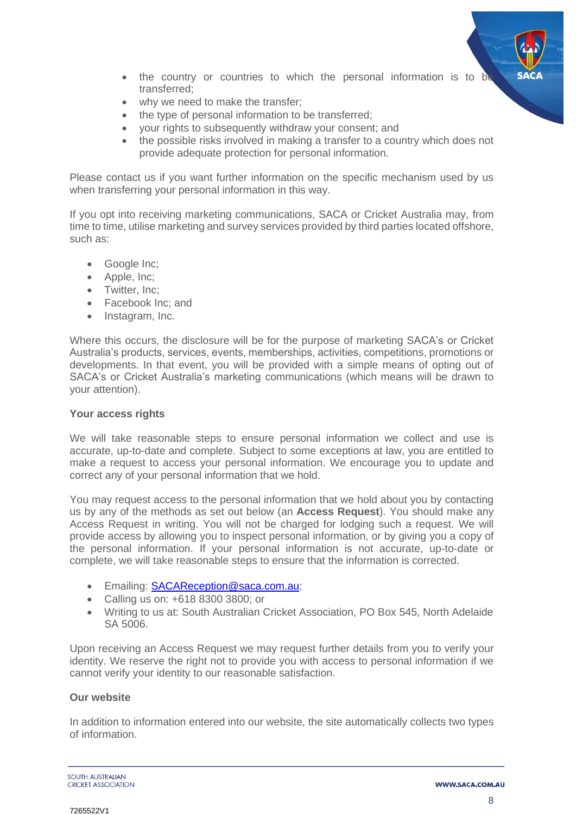

- the country or countries to which the personal information is to be transferred;
- why we need to make the transfer:
- the type of personal information to be transferred:
- your rights to subsequently withdraw your consent; and
- the possible risks involved in making a transfer to a country which does not provide adequate protection for personal information.

Please contact us if you want further information on the specific mechanism used by us when transferring your personal information in this way.

If you opt into receiving marketing communications, SACA or Cricket Australia may, from time to time, utilise marketing and survey services provided by third parties located offshore, such as:

- Google Inc;
- Apple, Inc;
- Twitter, Inc;
- Facebook Inc; and
- Instagram, Inc.

Where this occurs, the disclosure will be for the purpose of marketing SACA's or Cricket Australia's products, services, events, memberships, activities, competitions, promotions or developments. In that event, you will be provided with a simple means of opting out of SACA's or Cricket Australia's marketing communications (which means will be drawn to your attention).

# **Your access rights**

We will take reasonable steps to ensure personal information we collect and use is accurate, up-to-date and complete. Subject to some exceptions at law, you are entitled to make a request to access your personal information. We encourage you to update and correct any of your personal information that we hold.

You may request access to the personal information that we hold about you by contacting us by any of the methods as set out below (an **Access Request**). You should make any Access Request in writing. You will not be charged for lodging such a request. We will provide access by allowing you to inspect personal information, or by giving you a copy of the personal information. If your personal information is not accurate, up-to-date or complete, we will take reasonable steps to ensure that the information is corrected.

- Emailing: [SACAReception@saca.com.au;](mailto:SACAReception@saca.com.au)
- Calling us on: +618 8300 3800; or
- Writing to us at: South Australian Cricket Association, PO Box 545, North Adelaide SA 5006.

Upon receiving an Access Request we may request further details from you to verify your identity. We reserve the right not to provide you with access to personal information if we cannot verify your identity to our reasonable satisfaction.

# **Our website**

In addition to information entered into our website, the site automatically collects two types of information.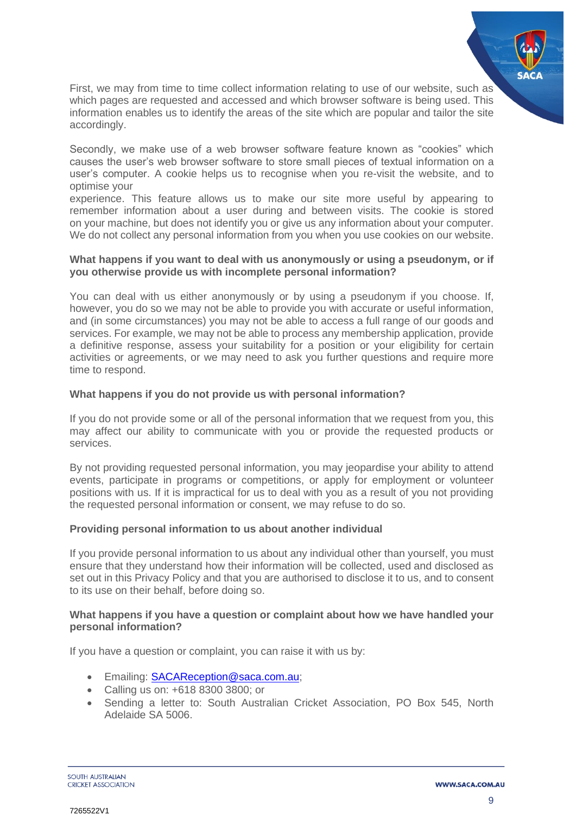

First, we may from time to time collect information relating to use of our website, such as which pages are requested and accessed and which browser software is being used. This information enables us to identify the areas of the site which are popular and tailor the site accordingly.

Secondly, we make use of a web browser software feature known as "cookies" which causes the user's web browser software to store small pieces of textual information on a user's computer. A cookie helps us to recognise when you re-visit the website, and to optimise your

experience. This feature allows us to make our site more useful by appearing to remember information about a user during and between visits. The cookie is stored on your machine, but does not identify you or give us any information about your computer. We do not collect any personal information from you when you use cookies on our website.

# **What happens if you want to deal with us anonymously or using a pseudonym, or if you otherwise provide us with incomplete personal information?**

You can deal with us either anonymously or by using a pseudonym if you choose. If, however, you do so we may not be able to provide you with accurate or useful information, and (in some circumstances) you may not be able to access a full range of our goods and services. For example, we may not be able to process any membership application, provide a definitive response, assess your suitability for a position or your eligibility for certain activities or agreements, or we may need to ask you further questions and require more time to respond.

# **What happens if you do not provide us with personal information?**

If you do not provide some or all of the personal information that we request from you, this may affect our ability to communicate with you or provide the requested products or services.

By not providing requested personal information, you may jeopardise your ability to attend events, participate in programs or competitions, or apply for employment or volunteer positions with us. If it is impractical for us to deal with you as a result of you not providing the requested personal information or consent, we may refuse to do so.

# **Providing personal information to us about another individual**

If you provide personal information to us about any individual other than yourself, you must ensure that they understand how their information will be collected, used and disclosed as set out in this Privacy Policy and that you are authorised to disclose it to us, and to consent to its use on their behalf, before doing so.

# **What happens if you have a question or complaint about how we have handled your personal information?**

If you have a question or complaint, you can raise it with us by:

- Emailing: **SACAReception@saca.com.au**;
- Calling us on: +618 8300 3800; or
- Sending a letter to: South Australian Cricket Association, PO Box 545, North Adelaide SA 5006.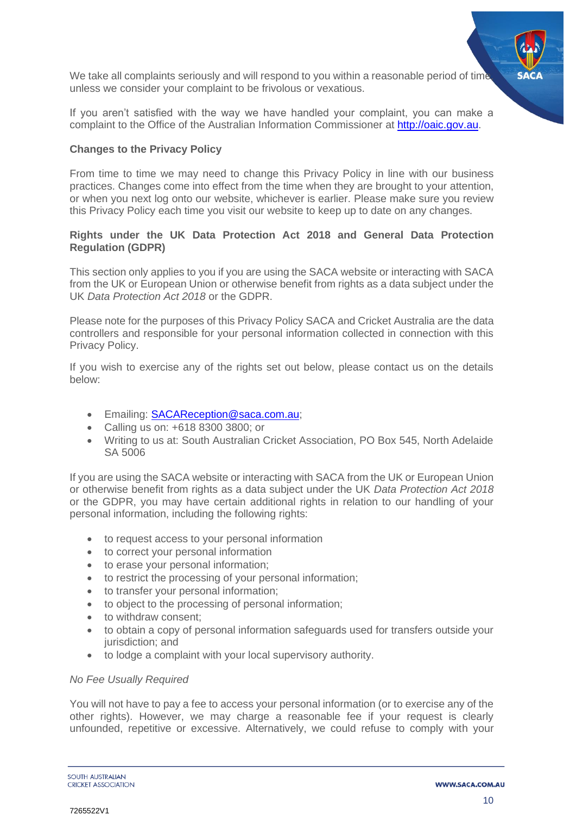We take all complaints seriously and will respond to you within a reasonable period of time unless we consider your complaint to be frivolous or vexatious.

If you aren't satisfied with the way we have handled your complaint, you can make a complaint to the Office of the Australian Information Commissioner at [http://oaic.gov.au.](http://oaic.gov.au/)

# **Changes to the Privacy Policy**

From time to time we may need to change this Privacy Policy in line with our business practices. Changes come into effect from the time when they are brought to your attention, or when you next log onto our website, whichever is earlier. Please make sure you review this Privacy Policy each time you visit our website to keep up to date on any changes.

# **Rights under the UK Data Protection Act 2018 and General Data Protection Regulation (GDPR)**

This section only applies to you if you are using the SACA website or interacting with SACA from the UK or European Union or otherwise benefit from rights as a data subject under the UK *Data Protection Act 2018* or the GDPR.

Please note for the purposes of this Privacy Policy SACA and Cricket Australia are the data controllers and responsible for your personal information collected in connection with this Privacy Policy.

If you wish to exercise any of the rights set out below, please contact us on the details below:

- Emailing: [SACAReception@saca.com.au;](mailto:SACAReception@saca.com.au)
- Calling us on: +618 8300 3800; or
- Writing to us at: South Australian Cricket Association, PO Box 545, North Adelaide SA 5006

If you are using the SACA website or interacting with SACA from the UK or European Union or otherwise benefit from rights as a data subject under the UK *Data Protection Act 2018* or the GDPR, you may have certain additional rights in relation to our handling of your personal information, including the following rights:

- to request access to your personal information
- to correct your personal information
- to erase your personal information;
- to restrict the processing of your personal information;
- to transfer your personal information;
- to object to the processing of personal information;
- to withdraw consent:
- to obtain a copy of personal information safeguards used for transfers outside your jurisdiction; and
- to lodge a complaint with your local supervisory authority.

# *No Fee Usually Required*

You will not have to pay a fee to access your personal information (or to exercise any of the other rights). However, we may charge a reasonable fee if your request is clearly unfounded, repetitive or excessive. Alternatively, we could refuse to comply with your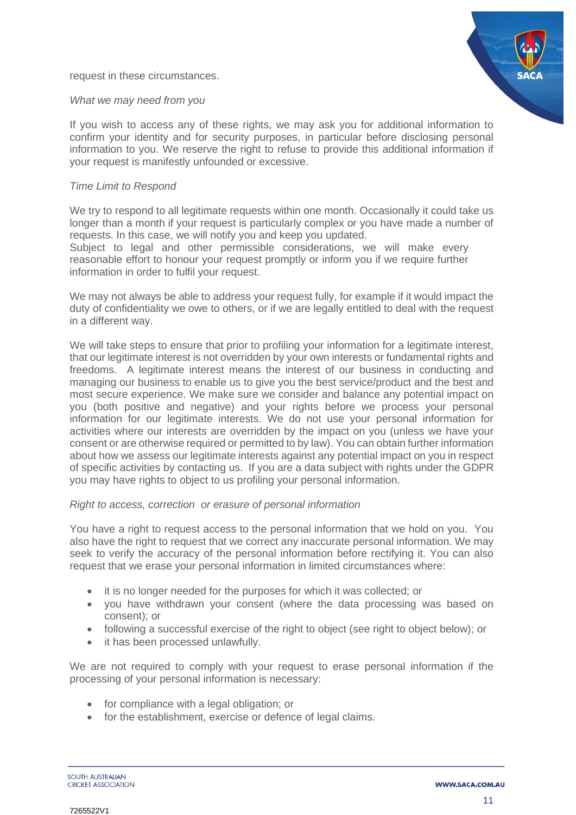request in these circumstances.



#### *What we may need from you*

If you wish to access any of these rights, we may ask you for additional information to confirm your identity and for security purposes, in particular before disclosing personal information to you. We reserve the right to refuse to provide this additional information if your request is manifestly unfounded or excessive.

#### *Time Limit to Respond*

We try to respond to all legitimate requests within one month. Occasionally it could take us longer than a month if your request is particularly complex or you have made a number of requests. In this case, we will notify you and keep you updated.

Subject to legal and other permissible considerations, we will make every reasonable effort to honour your request promptly or inform you if we require further information in order to fulfil your request.

We may not always be able to address your request fully, for example if it would impact the duty of confidentiality we owe to others, or if we are legally entitled to deal with the request in a different way.

We will take steps to ensure that prior to profiling your information for a legitimate interest, that our legitimate interest is not overridden by your own interests or fundamental rights and freedoms. A legitimate interest means the interest of our business in conducting and managing our business to enable us to give you the best service/product and the best and most secure experience. We make sure we consider and balance any potential impact on you (both positive and negative) and your rights before we process your personal information for our legitimate interests. We do not use your personal information for activities where our interests are overridden by the impact on you (unless we have your consent or are otherwise required or permitted to by law). You can obtain further information about how we assess our legitimate interests against any potential impact on you in respect of specific activities by contacting us. If you are a data subject with rights under the GDPR you may have rights to object to us profiling your personal information.

#### *Right to access, correction or erasure of personal information*

You have a right to request access to the personal information that we hold on you. You also have the right to request that we correct any inaccurate personal information. We may seek to verify the accuracy of the personal information before rectifying it. You can also request that we erase your personal information in limited circumstances where:

- it is no longer needed for the purposes for which it was collected; or
- you have withdrawn your consent (where the data processing was based on consent); or
- following a successful exercise of the right to object (see right to object below); or
- it has been processed unlawfully.

We are not required to comply with your request to erase personal information if the processing of your personal information is necessary:

- for compliance with a legal obligation; or
- for the establishment, exercise or defence of legal claims.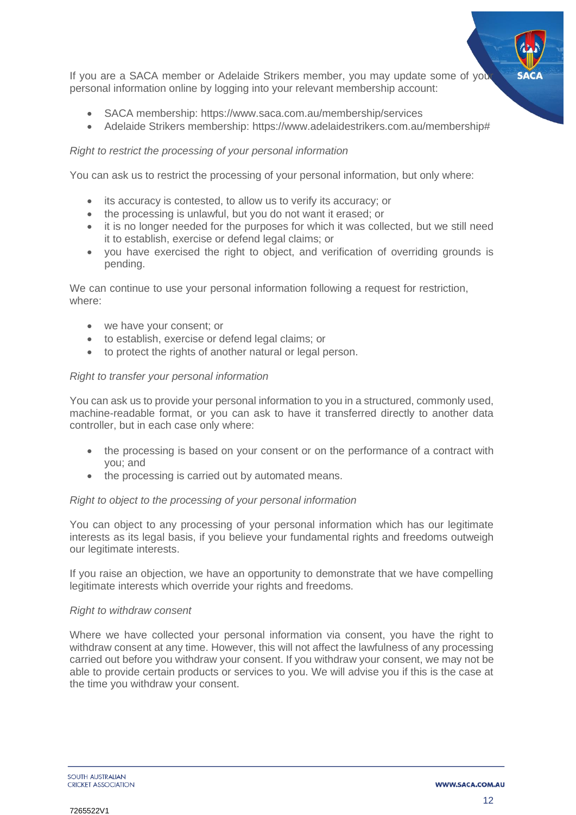

If you are a SACA member or Adelaide Strikers member, you may update some of you personal information online by logging into your relevant membership account:

- SACA membership:<https://www.saca.com.au/membership/services>
- Adelaide Strikers membership: [https://www.adelaidestrikers.com.au/membership#](https://www.adelaidestrikers.com.au/membership)

# *Right to restrict the processing of your personal information*

You can ask us to restrict the processing of your personal information, but only where:

- its accuracy is contested, to allow us to verify its accuracy; or
- the processing is unlawful, but you do not want it erased; or
- it is no longer needed for the purposes for which it was collected, but we still need it to establish, exercise or defend legal claims; or
- you have exercised the right to object, and verification of overriding grounds is pending.

We can continue to use your personal information following a request for restriction, where:

- we have your consent; or
- to establish, exercise or defend legal claims; or
- to protect the rights of another natural or legal person.

# *Right to transfer your personal information*

You can ask us to provide your personal information to you in a structured, commonly used, machine-readable format, or you can ask to have it transferred directly to another data controller, but in each case only where:

- the processing is based on your consent or on the performance of a contract with you; and
- the processing is carried out by automated means.

# *Right to object to the processing of your personal information*

You can object to any processing of your personal information which has our legitimate interests as its legal basis, if you believe your fundamental rights and freedoms outweigh our legitimate interests.

If you raise an objection, we have an opportunity to demonstrate that we have compelling legitimate interests which override your rights and freedoms.

#### *Right to withdraw consent*

Where we have collected your personal information via consent, you have the right to withdraw consent at any time. However, this will not affect the lawfulness of any processing carried out before you withdraw your consent. If you withdraw your consent, we may not be able to provide certain products or services to you. We will advise you if this is the case at the time you withdraw your consent.